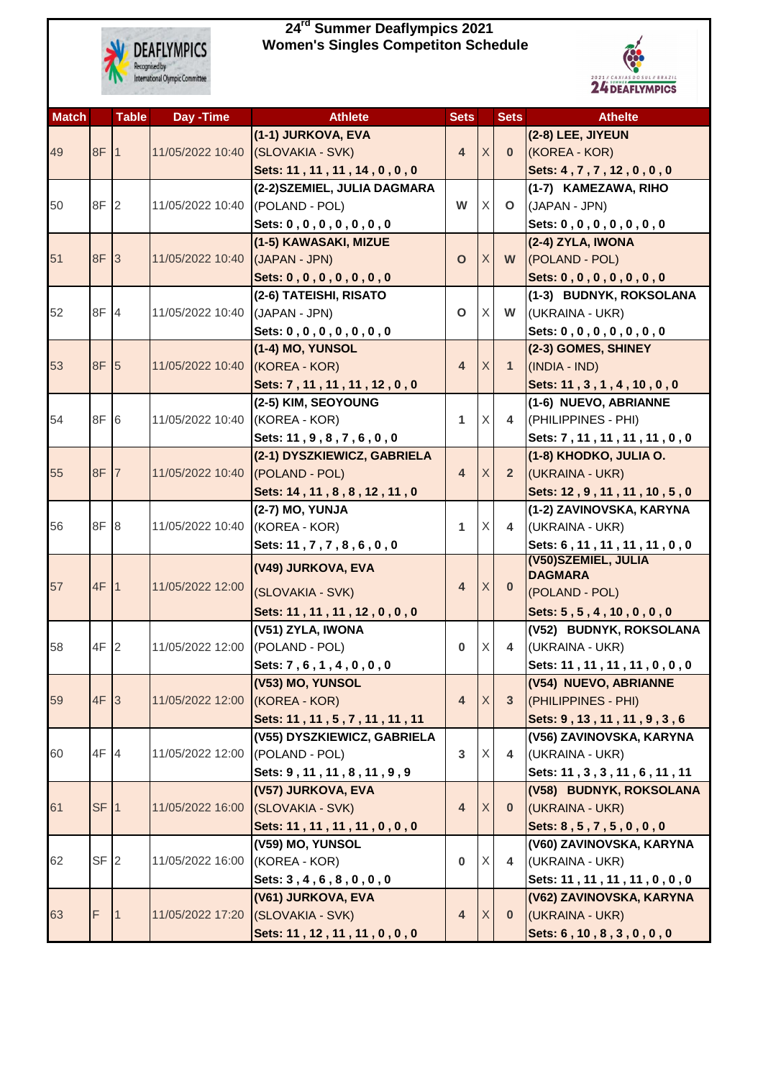

## **24rd Summer Deaflympics 2021 Women's Singles Competiton Schedule**



| <b>Match</b> |                 | <b>Table</b>    | Day - Time       | <b>Athlete</b>                                   | <b>Sets</b>             |   | <b>Sets</b>    | <b>Athelte</b>                                            |
|--------------|-----------------|-----------------|------------------|--------------------------------------------------|-------------------------|---|----------------|-----------------------------------------------------------|
|              |                 |                 |                  | (1-1) JURKOVA, EVA                               |                         |   |                | (2-8) LEE, JIYEUN                                         |
| 49           | 8F              |                 | 11/05/2022 10:40 | (SLOVAKIA - SVK)                                 | $\overline{4}$          | X | $\mathbf{0}$   | (KOREA - KOR)                                             |
|              |                 |                 |                  | Sets: 11, 11, 11, 14, 0, 0, 0                    |                         |   |                | Sets: 4, 7, 7, 12, 0, 0, 0                                |
|              |                 |                 |                  | (2-2) SZEMIEL, JULIA DAGMARA                     |                         |   |                | (1-7) KAMEZAWA, RIHO                                      |
| 50           | 8F 2            |                 | 11/05/2022 10:40 | (POLAND - POL)                                   | W                       | X | $\mathbf{O}$   | (JAPAN - JPN)                                             |
|              |                 |                 |                  | Sets: 0, 0, 0, 0, 0, 0, 0, 0                     |                         |   |                | Sets: 0, 0, 0, 0, 0, 0, 0, 0                              |
|              |                 |                 |                  | (1-5) KAWASAKI, MIZUE                            |                         |   |                | (2-4) ZYLA, IWONA                                         |
| 51           | 8F 3            |                 | 11/05/2022 10:40 | (JAPAN - JPN)                                    | $\mathbf O$             | X | W              | (POLAND - POL)                                            |
|              |                 |                 |                  | Sets: 0, 0, 0, 0, 0, 0, 0, 0                     |                         |   |                | Sets: 0, 0, 0, 0, 0, 0, 0, 0                              |
|              | 8F 4            |                 |                  | (2-6) TATEISHI, RISATO                           |                         | X |                | (1-3) BUDNYK, ROKSOLANA                                   |
| 52           |                 |                 | 11/05/2022 10:40 | (JAPAN - JPN)                                    | $\mathbf O$             |   | W              | (UKRAINA - UKR)                                           |
|              |                 |                 |                  | Sets: 0, 0, 0, 0, 0, 0, 0, 0<br>(1-4) MO, YUNSOL |                         |   |                | Sets: 0, 0, 0, 0, 0, 0, 0, 0<br>(2-3) GOMES, SHINEY       |
| 53           | 8F 5            |                 | 11/05/2022 10:40 | (KOREA - KOR)                                    | $\overline{\mathbf{4}}$ | X | $\mathbf{1}$   | (INDIA - IND)                                             |
|              |                 |                 |                  | Sets: 7, 11, 11, 11, 12, 0, 0                    |                         |   |                | Sets: 11, 3, 1, 4, 10, 0, 0                               |
|              |                 |                 |                  | (2-5) KIM, SEOYOUNG                              |                         |   |                | (1-6) NUEVO, ABRIANNE                                     |
| 54           | 8F 6            |                 | 11/05/2022 10:40 | (KOREA - KOR)                                    | 1                       | X | 4              | (PHILIPPINES - PHI)                                       |
|              |                 |                 |                  | Sets: 11, 9, 8, 7, 6, 0, 0                       |                         |   |                | Sets: 7, 11, 11, 11, 11, 0, 0                             |
|              |                 |                 |                  | (2-1) DYSZKIEWICZ, GABRIELA                      |                         |   |                | (1-8) KHODKO, JULIA O.                                    |
| 55           | 8F              | $\overline{7}$  | 11/05/2022 10:40 | (POLAND - POL)                                   | $\overline{4}$          | X | $\overline{2}$ | (UKRAINA - UKR)                                           |
|              |                 |                 |                  | Sets: 14, 11, 8, 8, 12, 11, 0                    |                         |   |                | Sets: 12, 9, 11, 11, 10, 5, 0                             |
|              |                 |                 |                  | (2-7) MO, YUNJA                                  |                         |   |                | (1-2) ZAVINOVSKA, KARYNA                                  |
| 56           | 8F 8            |                 | 11/05/2022 10:40 | (KOREA - KOR)                                    | 1                       | X | 4              | (UKRAINA - UKR)                                           |
|              |                 |                 |                  | Sets: 11, 7, 7, 8, 6, 0, 0                       |                         |   |                | Sets: 6, 11, 11, 11, 11, 0, 0                             |
|              |                 |                 |                  | (V49) JURKOVA, EVA                               |                         |   |                | (V50) SZEMIEL, JULIA<br><b>DAGMARA</b>                    |
| 57           | 4F              | $\mathbf 1$     | 11/05/2022 12:00 | (SLOVAKIA - SVK)                                 | $\overline{4}$          | X | $\bf{0}$       | (POLAND - POL)                                            |
|              |                 |                 |                  | Sets: 11, 11, 11, 12, 0, 0, 0                    |                         |   |                | Sets: 5, 5, 4, 10, 0, 0, 0                                |
|              |                 |                 |                  | (V51) ZYLA, IWONA                                |                         |   |                | (V52) BUDNYK, ROKSOLANA                                   |
| 58           | $4F$ 2          |                 | 11/05/2022 12:00 | (POLAND - POL)                                   | $\bf{0}$                | X | 4              | (UKRAINA - UKR)                                           |
|              |                 |                 |                  | Sets: 7, 6, 1, 4, 0, 0, 0                        |                         |   |                | Sets: 11, 11, 11, 11, 0, 0, 0                             |
|              |                 |                 |                  | (V53) MO, YUNSOL                                 |                         |   |                | (V54) NUEVO, ABRIANNE                                     |
| 59           | 4F              | $\vert 3 \vert$ | 11/05/2022 12:00 | (KOREA - KOR)                                    | $\overline{\mathbf{4}}$ | X | 3 <sup>2</sup> | (PHILIPPINES - PHI)                                       |
|              |                 |                 |                  | Sets: 11, 11, 5, 7, 11, 11, 11                   |                         |   |                | Sets: 9, 13, 11, 11, 9, 3, 6                              |
|              |                 |                 |                  | (V55) DYSZKIEWICZ, GABRIELA                      |                         |   |                | (V56) ZAVINOVSKA, KARYNA                                  |
| 60           | 4F 4            |                 | 11/05/2022 12:00 | (POLAND - POL)                                   | $\mathbf{3}$            | X | 4              | (UKRAINA - UKR)                                           |
|              |                 |                 |                  | Sets: 9, 11, 11, 8, 11, 9, 9                     |                         |   |                | Sets: 11, 3, 3, 11, 6, 11, 11                             |
|              |                 |                 |                  | (V57) JURKOVA, EVA                               |                         |   |                | (V58) BUDNYK, ROKSOLANA                                   |
| 61           | SF              | 1               | 11/05/2022 16:00 | (SLOVAKIA - SVK)                                 | 4                       | X | $\mathbf{0}$   | (UKRAINA - UKR)                                           |
|              |                 |                 |                  | Sets: 11, 11, 11, 11, 0, 0, 0                    |                         |   |                | Sets: 8, 5, 7, 5, 0, 0, 0                                 |
|              |                 |                 |                  | (V59) MO, YUNSOL                                 |                         |   |                | (V60) ZAVINOVSKA, KARYNA                                  |
| 62           | SF <sub>2</sub> |                 | 11/05/2022 16:00 | (KOREA - KOR)                                    | $\bf{0}$                | X | 4              | (UKRAINA - UKR)                                           |
|              |                 |                 |                  | Sets: 3, 4, 6, 8, 0, 0, 0<br>(V61) JURKOVA, EVA  |                         |   |                | Sets: 11, 11, 11, 11, 0, 0, 0<br>(V62) ZAVINOVSKA, KARYNA |
| 63           | F               |                 | 11/05/2022 17:20 | (SLOVAKIA - SVK)                                 | 4                       | X | $\mathbf{0}$   | (UKRAINA - UKR)                                           |
|              |                 |                 |                  | Sets: 11, 12, 11, 11, 0, 0, 0                    |                         |   |                | Sets: 6, 10, 8, 3, 0, 0, 0                                |
|              |                 |                 |                  |                                                  |                         |   |                |                                                           |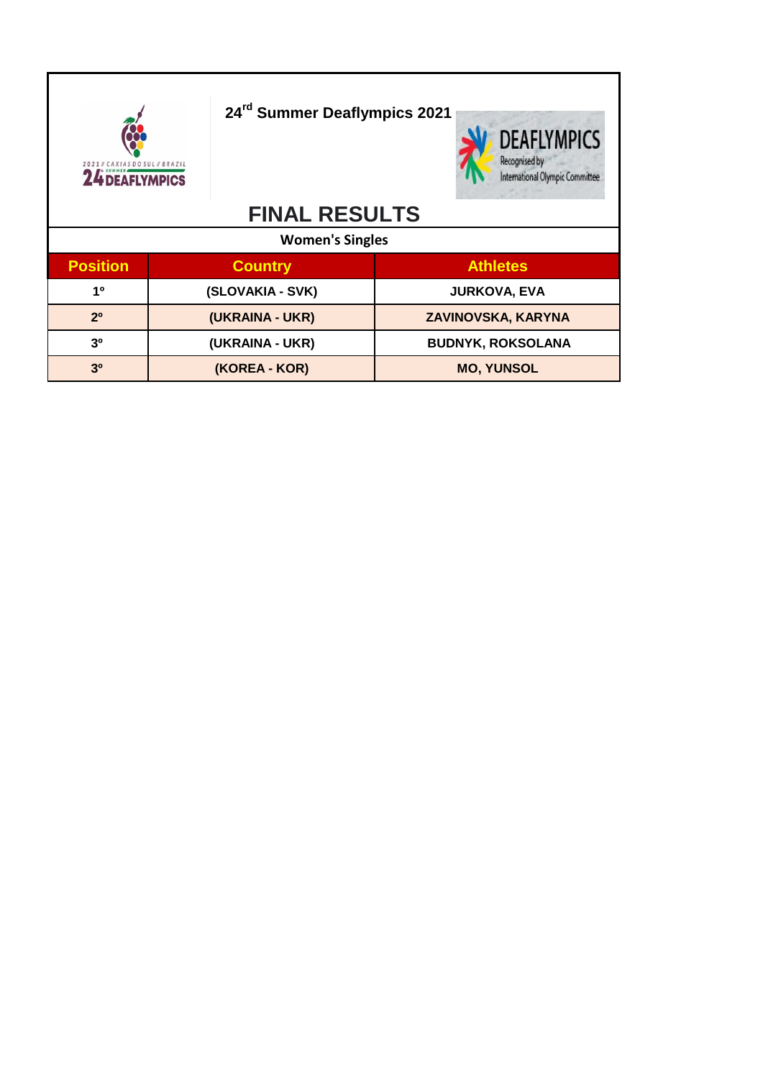| <b>24 DEAFLYMPICS</b>             |                | 24 <sup>rd</sup> Summer Deaflympics 2021 |                           |  | <b>DEAFLYMPICS</b><br>Recognised by<br>International Olympic Committee |
|-----------------------------------|----------------|------------------------------------------|---------------------------|--|------------------------------------------------------------------------|
|                                   |                | <b>FINAL RESULTS</b>                     |                           |  |                                                                        |
|                                   |                | <b>Women's Singles</b>                   |                           |  |                                                                        |
| <b>Position</b>                   | <b>Country</b> |                                          |                           |  | <b>Athletes</b>                                                        |
| 1 <sup>0</sup>                    |                | (SLOVAKIA - SVK)                         |                           |  | <b>JURKOVA, EVA</b>                                                    |
| (UKRAINA - UKR)<br>2 <sup>0</sup> |                |                                          | <b>ZAVINOVSKA, KARYNA</b> |  |                                                                        |
| 3 <sup>0</sup>                    |                | (UKRAINA - UKR)                          |                           |  | <b>BUDNYK, ROKSOLANA</b>                                               |
| 3 <sup>0</sup>                    |                | (KOREA - KOR)                            |                           |  | <b>MO, YUNSOL</b>                                                      |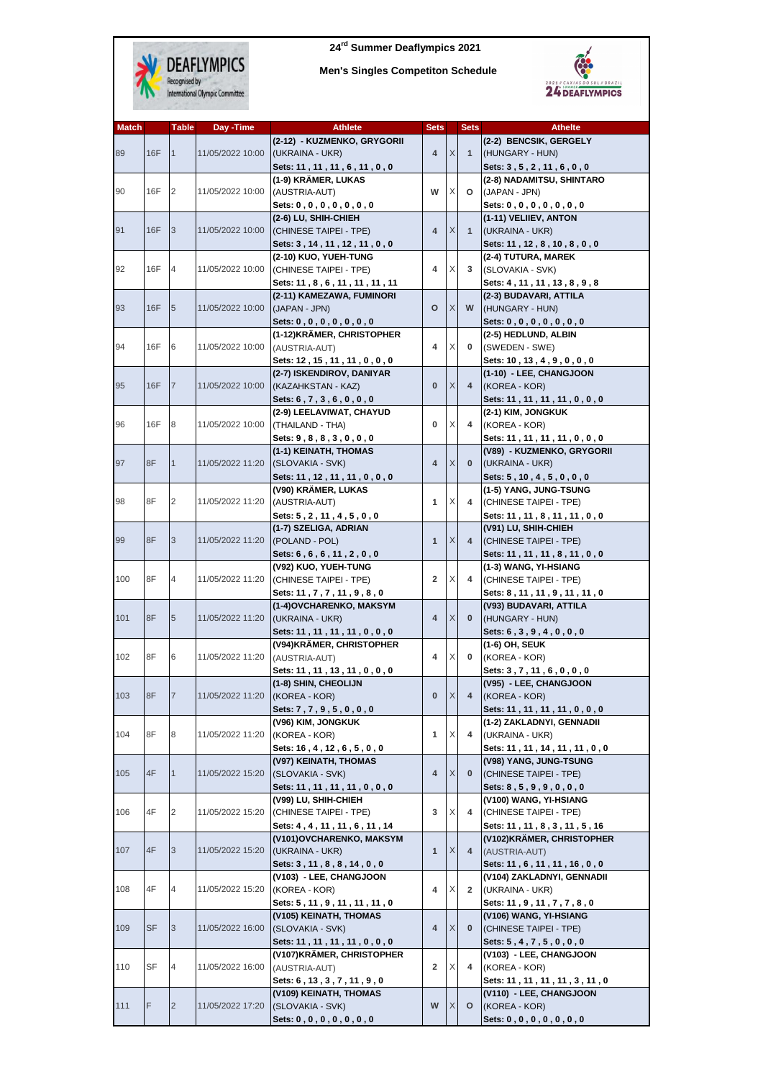

 **24rd Summer Deaflympics 2021**

 **Men's Singles Competiton Schedule**



| Men's Singles Competiton Schedule |  |  |
|-----------------------------------|--|--|
|-----------------------------------|--|--|

| <b>Match</b> |           | Table          | Day -Time                      | <b>Athlete</b>                 | <b>Sets</b>    |              | <b>Sets</b>                   | <b>Athelte</b>                 |
|--------------|-----------|----------------|--------------------------------|--------------------------------|----------------|--------------|-------------------------------|--------------------------------|
|              |           |                |                                | (2-12) - KUZMENKO, GRYGORII    |                |              |                               | (2-2) BENCSIK, GERGELY         |
| 89           | 16F       | $\vert$ 1      | 11/05/2022 10:00               | (UKRAINA - UKR)                | 4              | X            | $\mathbf{1}$                  | (HUNGARY - HUN)                |
|              |           |                |                                |                                |                |              |                               |                                |
|              |           |                |                                | Sets: 11, 11, 11, 6, 11, 0, 0  |                |              |                               | Sets: 3, 5, 2, 11, 6, 0, 0     |
|              |           |                |                                | (1-9) KRÄMER, LUKAS            |                |              |                               | (2-8) NADAMITSU, SHINTARO      |
| 90           | 16F       | 2              | 11/05/2022 10:00               | (AUSTRIA-AUT)                  | W              | X            | $\circ$                       | (JAPAN - JPN)                  |
|              |           |                |                                | Sets: 0, 0, 0, 0, 0, 0, 0      |                |              |                               | Sets: 0, 0, 0, 0, 0, 0, 0, 0   |
|              |           |                |                                | (2-6) LU, SHIH-CHIEH           |                |              |                               | (1-11) VELIIEV, ANTON          |
|              |           |                |                                |                                |                |              |                               |                                |
| 91           | 16F       | 3              | 11/05/2022 10:00               | (CHINESE TAIPEI - TPE)         | 4              | X            | $\mathbf{1}$                  | (UKRAINA - UKR)                |
|              |           |                |                                | Sets: 3, 14, 11, 12, 11, 0, 0  |                |              |                               | Sets: 11, 12, 8, 10, 8, 0, 0   |
|              |           |                |                                | (2-10) KUO, YUEH-TUNG          |                |              |                               | (2-4) TUTURA, MAREK            |
| 92           | 16F       | $\overline{4}$ | 11/05/2022 10:00               | (CHINESE TAIPEI - TPE)         | 4              | X            | 3                             | (SLOVAKIA - SVK)               |
|              |           |                |                                |                                |                |              |                               |                                |
|              |           |                |                                | Sets: 11, 8, 6, 11, 11, 11, 11 |                |              |                               | Sets: 4, 11, 11, 13, 8, 9, 8   |
|              |           |                |                                | (2-11) KAMEZAWA, FUMINORI      |                |              |                               | (2-3) BUDAVARI, ATTILA         |
| 93           | 16F       | 5              | 11/05/2022 10:00               | (JAPAN - JPN)                  | o              | X            | W                             | (HUNGARY - HUN)                |
|              |           |                |                                | Sets: 0, 0, 0, 0, 0, 0, 0, 0   |                |              |                               | Sets: 0, 0, 0, 0, 0, 0, 0, 0   |
|              |           |                |                                | (1-12) KRÄMER, CHRISTOPHER     |                |              |                               | (2-5) HEDLUND, ALBIN           |
| 94           | 16F       | 6              | 11/05/2022 10:00               |                                | 4              | X            | 0                             | (SWEDEN - SWE)                 |
|              |           |                |                                | (AUSTRIA-AUT)                  |                |              |                               |                                |
|              |           |                |                                | Sets: 12, 15, 11, 11, 0, 0, 0  |                |              |                               | Sets: 10, 13, 4, 9, 0, 0, 0    |
|              |           |                |                                | (2-7) ISKENDIROV, DANIYAR      |                |              |                               | (1-10) - LEE, CHANGJOON        |
| 95           | 16F       | $\overline{7}$ | 11/05/2022 10:00               | (KAZAHKSTAN - KAZ)             | $\bf{0}$       | X            | $\overline{4}$                | (KOREA - KOR)                  |
|              |           |                |                                | Sets: $6, 7, 3, 6, 0, 0, 0$    |                |              |                               | Sets: 11, 11, 11, 11, 0, 0, 0  |
|              |           |                |                                |                                |                |              |                               |                                |
|              |           |                |                                | (2-9) LEELAVIWAT, CHAYUD       |                |              |                               | (2-1) KIM, JONGKUK             |
| 96           | 16F       | 8              | 11/05/2022 10:00               | (THAILAND - THA)               | 0              | Χ            | 4                             | (KOREA - KOR)                  |
|              |           |                |                                | Sets: 9, 8, 8, 3, 0, 0, 0      |                |              |                               | Sets: 11, 11, 11, 11, 0, 0, 0  |
|              |           |                |                                | (1-1) KEINATH, THOMAS          |                |              |                               | (V89) - KUZMENKO, GRYGORII     |
| 97           | 8F        | $\mathbf{1}$   | 11/05/2022 11:20               | (SLOVAKIA - SVK)               | 4              | X            | $\mathbf{0}$                  | (UKRAINA - UKR)                |
|              |           |                |                                |                                |                |              |                               |                                |
|              |           |                |                                | Sets: 11, 12, 11, 11, 0, 0, 0  |                |              |                               | Sets: 5, 10, 4, 5, 0, 0, 0     |
|              |           | $\overline{2}$ |                                | (V90) KRÄMER, LUKAS            |                |              |                               | (1-5) YANG, JUNG-TSUNG         |
| 98           | 8F        |                | 11/05/2022 11:20               | (AUSTRIA-AUT)                  | 1              | X            | 4                             | (CHINESE TAIPEI - TPE)         |
|              |           |                |                                | Sets: 5, 2, 11, 4, 5, 0, 0     |                |              |                               | Sets: 11, 11, 8, 11, 11, 0, 0  |
|              |           |                |                                | (1-7) SZELIGA, ADRIAN          |                |              |                               | (V91) LU, SHIH-CHIEH           |
|              |           |                |                                |                                |                |              |                               |                                |
| 99           | 8F        | 3              | 11/05/2022 11:20               | (POLAND - POL)                 | $\mathbf{1}$   | X            | $\overline{4}$                | (CHINESE TAIPEI - TPE)         |
|              |           |                |                                | Sets: 6, 6, 6, 11, 2, 0, 0     |                |              |                               | Sets: 11, 11, 11, 8, 11, 0, 0  |
|              |           |                |                                | (V92) KUO, YUEH-TUNG           |                |              |                               | (1-3) WANG, YI-HSIANG          |
| 100          | 8F        | $\overline{4}$ | 11/05/2022 11:20               | (CHINESE TAIPEI - TPE)         | $\overline{2}$ | X            | 4                             | (CHINESE TAIPEI - TPE)         |
|              |           |                |                                |                                |                |              |                               |                                |
|              |           |                |                                | Sets: 11, 7, 7, 11, 9, 8, 0    |                |              |                               | Sets: 8, 11, 11, 9, 11, 11, 0  |
|              |           |                |                                | (1-4) OVCHARENKO, MAKSYM       |                |              |                               | (V93) BUDAVARI, ATTILA         |
| 101          | 8F        | 5              | 11/05/2022 11:20               | (UKRAINA - UKR)                | 4              | X            | $\mathbf{0}$                  | (HUNGARY - HUN)                |
|              |           |                |                                | Sets: 11, 11, 11, 11, 0, 0, 0  |                |              |                               | Sets: 6, 3, 9, 4, 0, 0, 0      |
|              |           |                |                                | (V94)KRÄMER, CHRISTOPHER       |                |              |                               | (1-6) OH, SEUK                 |
| 102          | 8F        | 6              | 11/05/2022 11:20               |                                | 4              | Χ            | 0                             | (KOREA - KOR)                  |
|              |           |                |                                | (AUSTRIA-AUT)                  |                |              |                               |                                |
|              |           |                |                                | Sets: 11, 11, 13, 11, 0, 0, 0  |                |              |                               | Sets: 3, 7, 11, 6, 0, 0, 0     |
|              |           |                |                                | (1-8) SHIN, CHEOLIJN           |                |              |                               | (V95) - LEE, CHANGJOON         |
| 103          | 8F        | $\overline{7}$ | 11/05/2022 11:20 (KOREA - KOR) |                                | 0              | $\mathsf{X}$ | 4                             | (KOREA - KOR)                  |
|              |           |                |                                | Sets: 7, 7, 9, 5, 0, 0, 0      |                |              | Sets: 11, 11, 11, 11, 0, 0, 0 |                                |
|              |           |                |                                | (V96) KIM, JONGKUK             |                |              |                               | (1-2) ZAKLADNYI, GENNADII      |
| 104          |           |                |                                |                                |                |              |                               |                                |
|              | 8F        | 8              | 11/05/2022 11:20               | (KOREA - KOR)                  | 1              | X            | 4                             | (UKRAINA - UKR)                |
|              |           |                |                                | Sets: 16, 4, 12, 6, 5, 0, 0    |                |              |                               | Sets: 11, 11, 14, 11, 11, 0, 0 |
|              |           |                |                                | (V97) KEINATH, THOMAS          |                |              |                               | (V98) YANG, JUNG-TSUNG         |
| 105          | 4F        | $\mathbf{1}$   | 11/05/2022 15:20               | (SLOVAKIA - SVK)               | 4              | X            | $\mathbf{0}$                  | (CHINESE TAIPEI - TPE)         |
|              |           |                |                                | Sets: 11, 11, 11, 11, 0, 0, 0  |                |              |                               | Sets: 8, 5, 9, 9, 0, 0, 0      |
|              |           |                |                                |                                |                |              |                               |                                |
|              |           |                |                                | (V99) LU, SHIH-CHIEH           |                |              |                               | (V100) WANG, YI-HSIANG         |
| 106          | 4F        | 2              | 11/05/2022 15:20               | (CHINESE TAIPEI - TPE)         | 3              | X            | 4                             | (CHINESE TAIPEI - TPE)         |
|              |           |                |                                | Sets: 4, 4, 11, 11, 6, 11, 14  |                |              |                               | Sets: 11, 11, 8, 3, 11, 5, 16  |
|              |           |                |                                | (V101) OVCHARENKO, MAKSYM      |                |              |                               | (V102)KRÄMER, CHRISTOPHER      |
| 107          | 4F        | 3              | 11/05/2022 15:20               | (UKRAINA - UKR)                | $\mathbf{1}$   | X            | 4                             | (AUSTRIA-AUT)                  |
|              |           |                |                                |                                |                |              |                               |                                |
|              |           |                |                                | Sets: 3, 11, 8, 8, 14, 0, 0    |                |              |                               | Sets: 11, 6, 11, 11, 16, 0, 0  |
|              |           |                |                                | (V103) - LEE, CHANGJOON        |                |              |                               | (V104) ZAKLADNYI, GENNADII     |
| 108          | 4F        | 4              | 11/05/2022 15:20               | (KOREA - KOR)                  | 4              | X            | $\mathbf{2}$                  | (UKRAINA - UKR)                |
|              |           |                |                                | Sets: 5, 11, 9, 11, 11, 11, 0  |                |              |                               | Sets: 11, 9, 11, 7, 7, 8, 0    |
|              |           |                |                                |                                |                |              |                               |                                |
|              |           |                |                                | (V105) KEINATH, THOMAS         |                |              |                               | (V106) WANG, YI-HSIANG         |
| 109          | <b>SF</b> | 3              | 11/05/2022 16:00               | (SLOVAKIA - SVK)               | 4              | X            | 0                             | (CHINESE TAIPEI - TPE)         |
|              |           |                |                                | Sets: 11, 11, 11, 11, 0, 0, 0  |                |              |                               | Sets: 5, 4, 7, 5, 0, 0, 0      |
|              |           |                |                                | (V107)KRÄMER, CHRISTOPHER      |                |              |                               | (V103) - LEE, CHANGJOON        |
| 110          | SF        | 4              |                                | (AUSTRIA-AUT)                  | 2              | Χ            | 4                             | (KOREA - KOR)                  |
|              |           |                | 11/05/2022 16:00               |                                |                |              |                               |                                |
|              |           |                |                                | Sets: 6, 13, 3, 7, 11, 9, 0    |                |              |                               | Sets: 11, 11, 11, 11, 3, 11, 0 |
|              |           |                |                                | (V109) KEINATH, THOMAS         |                |              |                               | (V110) - LEE, CHANGJOON        |
| 111          | F         | $\overline{2}$ | 11/05/2022 17:20               | (SLOVAKIA - SVK)               | W              | X            | o                             | (KOREA - KOR)                  |
|              |           |                |                                | Sets: $0, 0, 0, 0, 0, 0, 0$    |                |              |                               | Sets: 0, 0, 0, 0, 0, 0, 0      |
|              |           |                |                                |                                |                |              |                               |                                |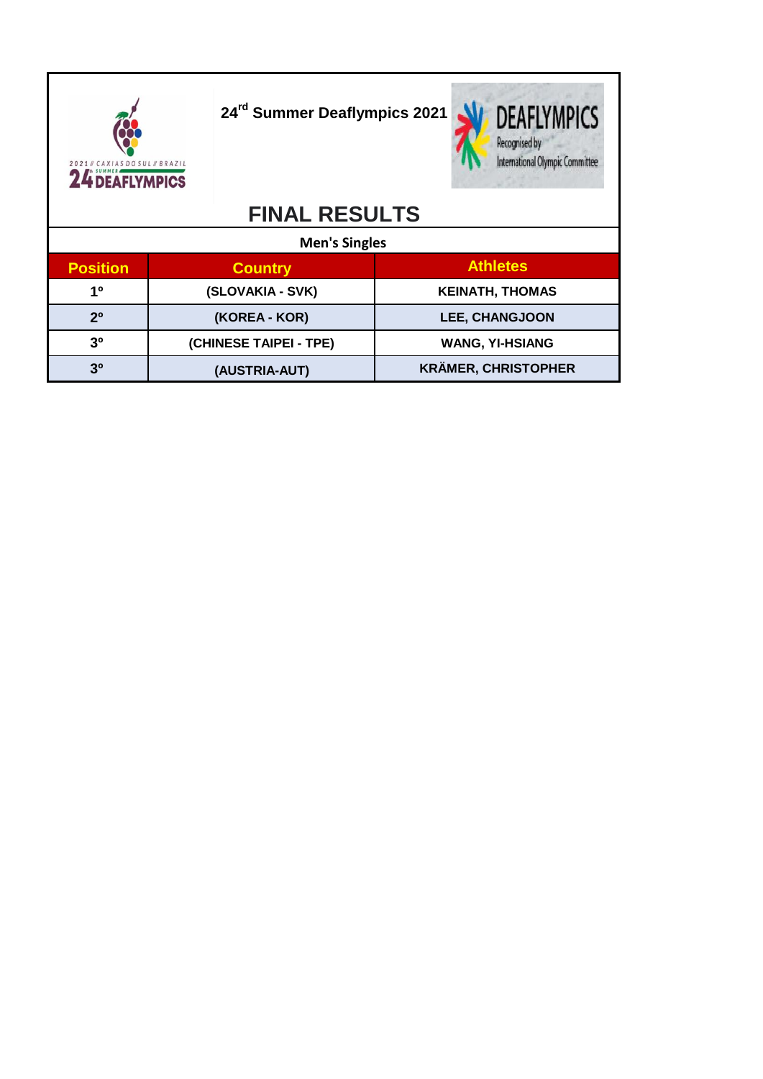SDO SUL // BRAZIL 2021 / CAXIAS DO SUL / BRAZIL

**24rd Summer Deaflympics 2021**



## **FINAL RESULTS**

|                 | <b>Men's Singles</b>   |                            |  |  |  |  |  |  |
|-----------------|------------------------|----------------------------|--|--|--|--|--|--|
| <b>Position</b> | <b>Country</b>         | <b>Athletes</b>            |  |  |  |  |  |  |
| 10              | (SLOVAKIA - SVK)       | <b>KEINATH, THOMAS</b>     |  |  |  |  |  |  |
| $2^{\circ}$     | (KOREA - KOR)          | <b>LEE, CHANGJOON</b>      |  |  |  |  |  |  |
| 3 <sup>0</sup>  | (CHINESE TAIPEI - TPE) | <b>WANG, YI-HSIANG</b>     |  |  |  |  |  |  |
| 3 <sup>0</sup>  | (AUSTRIA-AUT)          | <b>KRÄMER, CHRISTOPHER</b> |  |  |  |  |  |  |